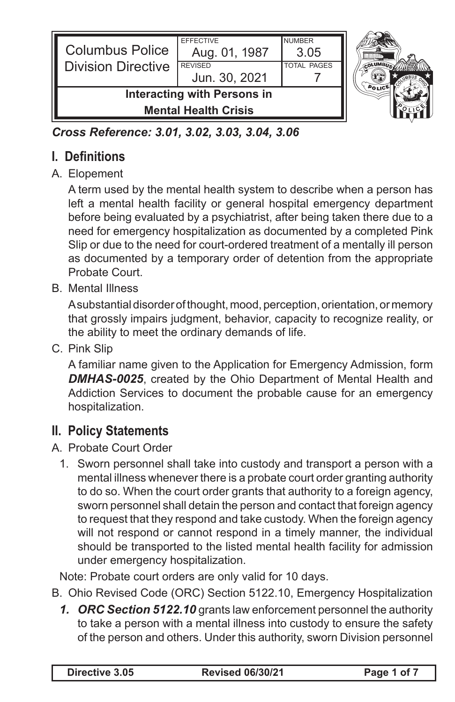| <b>Columbus Police</b>                                            | <b>EFFECTIVE</b><br>Aug. 01, 1987 | <b>NUMBER</b><br>3.05 |  |
|-------------------------------------------------------------------|-----------------------------------|-----------------------|--|
| <b>Division Directive</b>                                         | <b>REVISED</b><br>Jun. 30, 2021   | <b>TOTAL PAGES</b>    |  |
| <b>Interacting with Persons in</b><br><b>Mental Health Crisis</b> |                                   |                       |  |

*Cross Reference: 3.01, 3.02, 3.03, 3.04, 3.06*

# **I. Definitions**

### A. Elopement

A term used by the mental health system to describe when a person has left a mental health facility or general hospital emergency department before being evaluated by a psychiatrist, after being taken there due to a need for emergency hospitalization as documented by a completed Pink Slip or due to the need for court-ordered treatment of a mentally ill person as documented by a temporary order of detention from the appropriate Probate Court.

B. Mental Illness

A substantial disorder of thought, mood, perception, orientation, or memory that grossly impairs judgment, behavior, capacity to recognize reality, or the ability to meet the ordinary demands of life.

C. Pink Slip

A familiar name given to the Application for Emergency Admission, form *DMHAS-0025*, created by the Ohio Department of Mental Health and Addiction Services to document the probable cause for an emergency hospitalization.

# **II. Policy Statements**

- A. Probate Court Order
	- 1. Sworn personnel shall take into custody and transport a person with a mental illness whenever there is a probate court order granting authority to do so. When the court order grants that authority to a foreign agency, sworn personnel shall detain the person and contact that foreign agency to request that they respond and take custody. When the foreign agency will not respond or cannot respond in a timely manner, the individual should be transported to the listed mental health facility for admission under emergency hospitalization.

Note: Probate court orders are only valid for 10 days.

- B. Ohio Revised Code (ORC) Section 5122.10, Emergency Hospitalization
	- *1. ORC Section 5122.10* grants law enforcement personnel the authority to take a person with a mental illness into custody to ensure the safety of the person and others. Under this authority, sworn Division personnel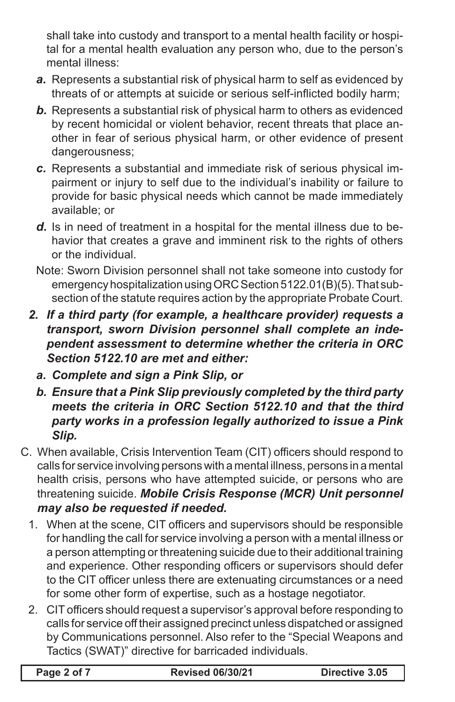shall take into custody and transport to a mental health facility or hospital for a mental health evaluation any person who, due to the person's mental illness:

- *a.* Represents a substantial risk of physical harm to self as evidenced by threats of or attempts at suicide or serious self-inflicted bodily harm;
- *b.* Represents a substantial risk of physical harm to others as evidenced by recent homicidal or violent behavior, recent threats that place another in fear of serious physical harm, or other evidence of present dangerousness;
- *c.* Represents a substantial and immediate risk of serious physical impairment or injury to self due to the individual's inability or failure to provide for basic physical needs which cannot be made immediately available; or
- *d.* Is in need of treatment in a hospital for the mental illness due to behavior that creates a grave and imminent risk to the rights of others or the individual.
- Note: Sworn Division personnel shall not take someone into custody for emergency hospitalization using ORC Section 5122.01(B)(5). That subsection of the statute requires action by the appropriate Probate Court.
- *2. If a third party (for example, a healthcare provider) requests a transport, sworn Division personnel shall complete an independent assessment to determine whether the criteria in ORC Section 5122.10 are met and either:*
	- *a. Complete and sign a Pink Slip, or*
	- *b. Ensure that a Pink Slip previously completed by the third party meets the criteria in ORC Section 5122.10 and that the third party works in a profession legally authorized to issue a Pink Slip.*
- C. When available, Crisis Intervention Team (CIT) officers should respond to calls for service involving persons with a mental illness, persons in a mental health crisis, persons who have attempted suicide, or persons who are threatening suicide. *Mobile Crisis Response (MCR) Unit personnel may also be requested if needed.*
	- 1. When at the scene, CIT officers and supervisors should be responsible for handling the call for service involving a person with a mental illness or a person attempting or threatening suicide due to their additional training and experience. Other responding officers or supervisors should defer to the CIT officer unless there are extenuating circumstances or a need for some other form of expertise, such as a hostage negotiator.
	- 2. CIT officers should request a supervisor's approval before responding to calls for service off their assigned precinct unless dispatched or assigned by Communications personnel. Also refer to the "Special Weapons and Tactics (SWAT)" directive for barricaded individuals.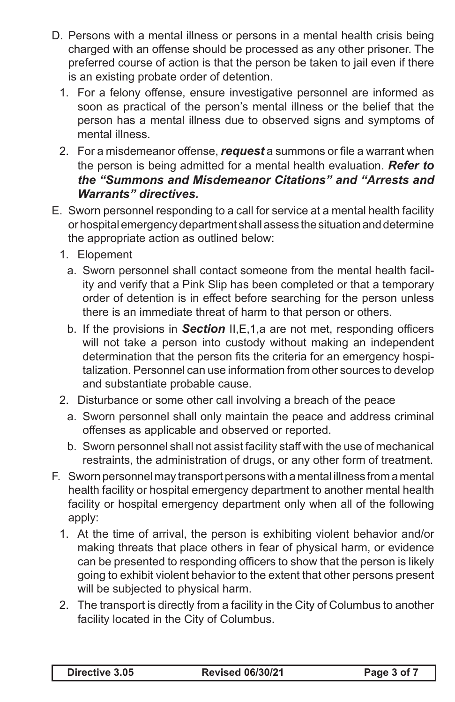- D. Persons with a mental illness or persons in a mental health crisis being charged with an offense should be processed as any other prisoner. The preferred course of action is that the person be taken to jail even if there is an existing probate order of detention.
	- 1. For a felony offense, ensure investigative personnel are informed as soon as practical of the person's mental illness or the belief that the person has a mental illness due to observed signs and symptoms of mental illness.
	- 2. For a misdemeanor offense, *request* a summons or file a warrant when the person is being admitted for a mental health evaluation. *Refer to the "Summons and Misdemeanor Citations" and "Arrests and Warrants" directives.*
- E. Sworn personnel responding to a call for service at a mental health facility or hospital emergency department shall assess the situation and determine the appropriate action as outlined below:
	- 1. Elopement
		- a. Sworn personnel shall contact someone from the mental health facility and verify that a Pink Slip has been completed or that a temporary order of detention is in effect before searching for the person unless there is an immediate threat of harm to that person or others.
		- b. If the provisions in *Section* II,E,1,a are not met, responding officers will not take a person into custody without making an independent determination that the person fits the criteria for an emergency hospitalization. Personnel can use information from other sources to develop and substantiate probable cause.
	- 2. Disturbance or some other call involving a breach of the peace
		- a. Sworn personnel shall only maintain the peace and address criminal offenses as applicable and observed or reported.
		- b. Sworn personnel shall not assist facility staff with the use of mechanical restraints, the administration of drugs, or any other form of treatment.
- F. Sworn personnel may transport persons with a mental illness from a mental health facility or hospital emergency department to another mental health facility or hospital emergency department only when all of the following apply:
	- 1. At the time of arrival, the person is exhibiting violent behavior and/or making threats that place others in fear of physical harm, or evidence can be presented to responding officers to show that the person is likely going to exhibit violent behavior to the extent that other persons present will be subjected to physical harm.
	- 2. The transport is directly from a facility in the City of Columbus to another facility located in the City of Columbus.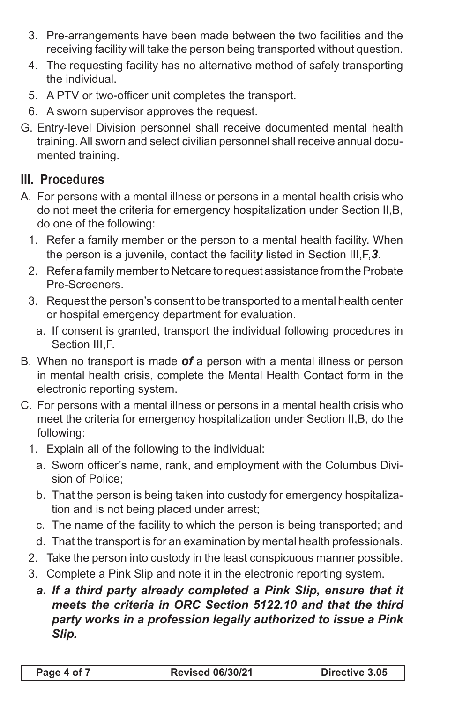- 3. Pre-arrangements have been made between the two facilities and the receiving facility will take the person being transported without question.
- 4. The requesting facility has no alternative method of safely transporting the individual.
- 5. A PTV or two-officer unit completes the transport.
- 6. A sworn supervisor approves the request.
- G. Entry-level Division personnel shall receive documented mental health training. All sworn and select civilian personnel shall receive annual documented training.

## **III. Procedures**

- A. For persons with a mental illness or persons in a mental health crisis who do not meet the criteria for emergency hospitalization under Section II,B, do one of the following:
	- 1. Refer a family member or the person to a mental health facility. When the person is a juvenile, contact the facilit*y* listed in Section III,F,*3*.
	- 2. Refer a family member to Netcare to request assistance from the Probate Pre-Screeners.
	- 3. Request the person's consent to be transported to a mental health center or hospital emergency department for evaluation.
		- a. If consent is granted, transport the individual following procedures in Section III,F.
- B. When no transport is made *of* a person with a mental illness or person in mental health crisis, complete the Mental Health Contact form in the electronic reporting system.
- C. For persons with a mental illness or persons in a mental health crisis who meet the criteria for emergency hospitalization under Section II,B, do the following:
	- 1. Explain all of the following to the individual:
		- a. Sworn officer's name, rank, and employment with the Columbus Division of Police;
		- b. That the person is being taken into custody for emergency hospitalization and is not being placed under arrest;
		- c. The name of the facility to which the person is being transported; and
		- d. That the transport is for an examination by mental health professionals.
	- 2. Take the person into custody in the least conspicuous manner possible.
	- 3. Complete a Pink Slip and note it in the electronic reporting system.
		- *a. If a third party already completed a Pink Slip, ensure that it meets the criteria in ORC Section 5122.10 and that the third party works in a profession legally authorized to issue a Pink Slip.*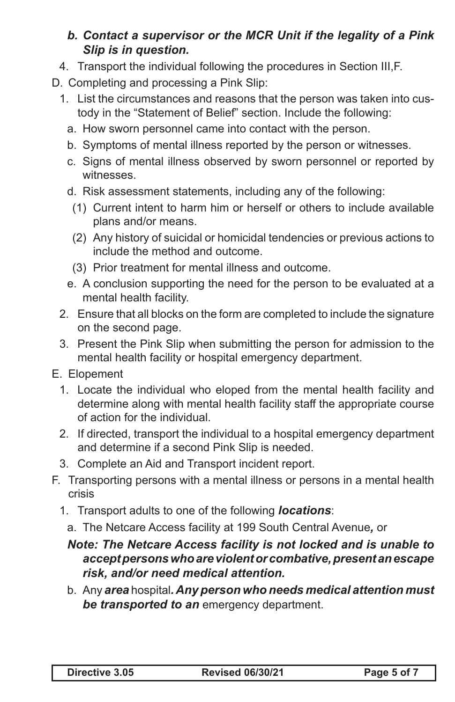### *b. Contact a supervisor or the MCR Unit if the legality of a Pink Slip is in question.*

- 4. Transport the individual following the procedures in Section III,F.
- D. Completing and processing a Pink Slip:
	- 1. List the circumstances and reasons that the person was taken into custody in the "Statement of Belief" section. Include the following:
		- a. How sworn personnel came into contact with the person.
		- b. Symptoms of mental illness reported by the person or witnesses.
		- c. Signs of mental illness observed by sworn personnel or reported by witnesses.
		- d. Risk assessment statements, including any of the following:
		- (1) Current intent to harm him or herself or others to include available plans and/or means.
		- (2) Any history of suicidal or homicidal tendencies or previous actions to include the method and outcome.
		- (3) Prior treatment for mental illness and outcome.
		- e. A conclusion supporting the need for the person to be evaluated at a mental health facility.
	- 2. Ensure that all blocks on the form are completed to include the signature on the second page.
	- 3. Present the Pink Slip when submitting the person for admission to the mental health facility or hospital emergency department.
- E. Elopement
	- 1. Locate the individual who eloped from the mental health facility and determine along with mental health facility staff the appropriate course of action for the individual.
	- 2. If directed, transport the individual to a hospital emergency department and determine if a second Pink Slip is needed.
	- 3. Complete an Aid and Transport incident report.
- F. Transporting persons with a mental illness or persons in a mental health crisis
	- 1. Transport adults to one of the following *locations*:
		- a. The Netcare Access facility at 199 South Central Avenue*,* or

#### *Note: The Netcare Access facility is not locked and is unable to accept persons who are violent or combative, present an escape risk, and/or need medical attention.*

b. Any *area* hospital*. Any person who needs medical attention must be transported to an* emergency department.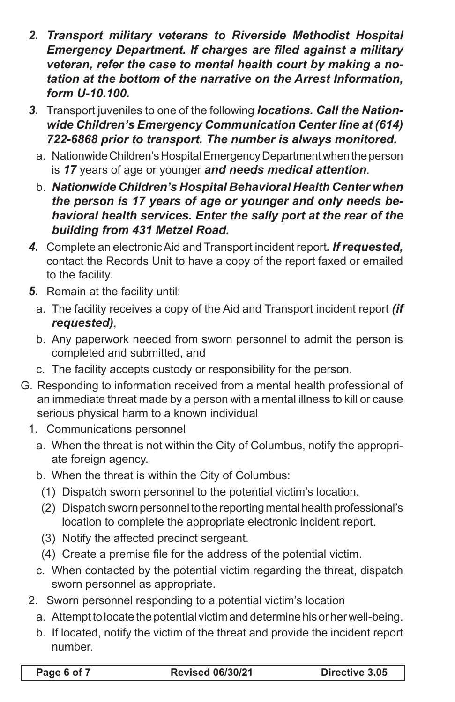- *2. Transport military veterans to Riverside Methodist Hospital Emergency Department. If charges are filed against a military veteran, refer the case to mental health court by making a notation at the bottom of the narrative on the Arrest Information, form U-10.100.*
- *3.* Transport juveniles to one of the following *locations. Call the Nationwide Children's Emergency Communication Center line at (614) 722-6868 prior to transport. The number is always monitored.*
	- a. Nationwide Children's Hospital Emergency Department when the person is *17* years of age or younger *and needs medical attention*.
	- b. *Nationwide Children's Hospital Behavioral Health Center when the person is 17 years of age or younger and only needs behavioral health services. Enter the sally port at the rear of the building from 431 Metzel Road.*
- *4.* Complete an electronic Aid and Transport incident report*. If requested,*  contact the Records Unit to have a copy of the report faxed or emailed to the facility.
- *5.* Remain at the facility until:
	- a. The facility receives a copy of the Aid and Transport incident report *(if requested)*,
	- b. Any paperwork needed from sworn personnel to admit the person is completed and submitted, and
	- c. The facility accepts custody or responsibility for the person.
- G. Responding to information received from a mental health professional of an immediate threat made by a person with a mental illness to kill or cause serious physical harm to a known individual
	- 1. Communications personnel
		- a. When the threat is not within the City of Columbus, notify the appropriate foreign agency.
		- b. When the threat is within the City of Columbus:
		- (1) Dispatch sworn personnel to the potential victim's location.
		- (2) Dispatch sworn personnel to the reporting mental health professional's location to complete the appropriate electronic incident report.
		- (3) Notify the affected precinct sergeant.
		- (4) Create a premise file for the address of the potential victim.
		- c. When contacted by the potential victim regarding the threat, dispatch sworn personnel as appropriate.
	- 2. Sworn personnel responding to a potential victim's location
		- a. Attempt to locate the potential victim and determine his or her well-being.
		- b. If located, notify the victim of the threat and provide the incident report number.